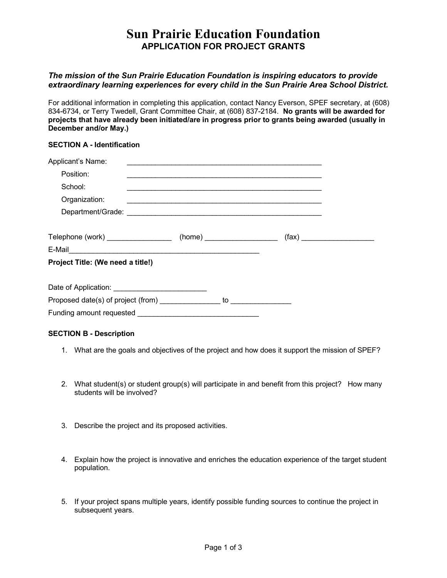## **Sun Prairie Education Foundation APPLICATION FOR PROJECT GRANTS**

### *The mission of the Sun Prairie Education Foundation is inspiring educators to provide extraordinary learning experiences for every child in the Sun Prairie Area School District.*

For additional information in completing this application, contact Nancy Everson, SPEF secretary, at (608) 834-6734, or Terry Twedell, Grant Committee Chair, at (608) 837-2184. **No grants will be awarded for projects that have already been initiated/are in progress prior to grants being awarded (usually in December and/or May.)**

#### **SECTION A - Identification**

| Applicant's Name:                                                                                                                                                                                                             |  |                                                             |                              |
|-------------------------------------------------------------------------------------------------------------------------------------------------------------------------------------------------------------------------------|--|-------------------------------------------------------------|------------------------------|
| Position:                                                                                                                                                                                                                     |  |                                                             |                              |
| School:                                                                                                                                                                                                                       |  | <u> 1989 - Johann Stoff, amerikansk politiker (d. 1989)</u> |                              |
| Organization:                                                                                                                                                                                                                 |  |                                                             |                              |
|                                                                                                                                                                                                                               |  |                                                             |                              |
| Telephone (work) ______________________ (home) _____________________                                                                                                                                                          |  |                                                             | (fax) ______________________ |
| E-Mail 2008 - 2008 - 2008 - 2019 - 2019 - 2019 - 2019 - 2019 - 2019 - 2019 - 2019 - 2019 - 2019 - 2019 - 2019 - 2019 - 2019 - 2019 - 2019 - 2019 - 2019 - 2019 - 2019 - 2019 - 2019 - 2019 - 2019 - 2019 - 2019 - 2019 - 2019 |  |                                                             |                              |
| Project Title: (We need a title!)                                                                                                                                                                                             |  |                                                             |                              |
|                                                                                                                                                                                                                               |  |                                                             |                              |
|                                                                                                                                                                                                                               |  |                                                             |                              |
|                                                                                                                                                                                                                               |  |                                                             |                              |

### **SECTION B - Description**

- 1. What are the goals and objectives of the project and how does it support the mission of SPEF?
- 2. What student(s) or student group(s) will participate in and benefit from this project? How many students will be involved?
- 3. Describe the project and its proposed activities.
- 4. Explain how the project is innovative and enriches the education experience of the target student population.
- 5. If your project spans multiple years, identify possible funding sources to continue the project in subsequent years.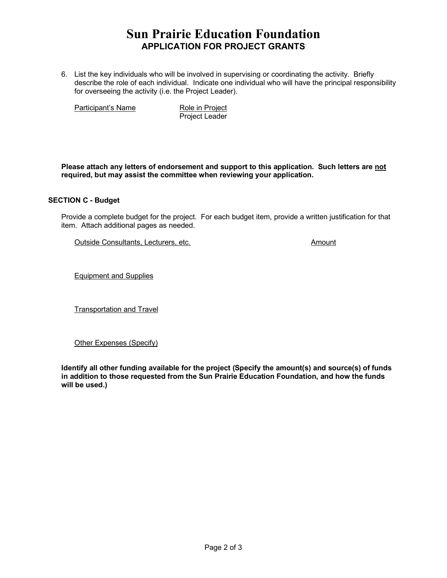# **Sun Prairie Education Foundation APPLICATION FOR PROJECT GRANTS**

6. List the key individuals who will be involved in supervising or coordinating the activity. Briefly describe the role of each individual. Indicate one individual who will have the principal responsibility for overseeing the activity (i.e. the Project Leader).

Participant's Name Role in Project

Project Leader

**Please attach any letters of endorsement and support to this application. Such letters are not required, but may assist the committee when reviewing your application.**

#### **SECTION C - Budget**

Provide a complete budget for the project. For each budget item, provide a written justification for that item. Attach additional pages as needed.

Outside Consultants, Lecturers, etc. Amount

Equipment and Supplies

**Transportation and Travel** 

Other Expenses (Specify)

**Identify all other funding available for the project (Specify the amount(s) and source(s) of funds in addition to those requested from the Sun Prairie Education Foundation, and how the funds will be used.)**